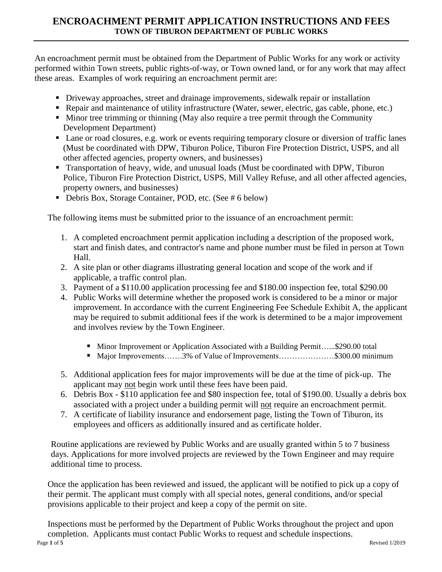## **ENCROACHMENT PERMIT APPLICATION INSTRUCTIONS AND FEES TOWN OF TIBURON DEPARTMENT OF PUBLIC WORKS**

An encroachment permit must be obtained from the Department of Public Works for any work or activity performed within Town streets, public rights-of-way, or Town owned land, or for any work that may affect these areas. Examples of work requiring an encroachment permit are:

- **•** Driveway approaches, street and drainage improvements, sidewalk repair or installation
- Repair and maintenance of utility infrastructure (Water, sewer, electric, gas cable, phone, etc.)
- Minor tree trimming or thinning (May also require a tree permit through the Community Development Department)
- Lane or road closures, e.g. work or events requiring temporary closure or diversion of traffic lanes (Must be coordinated with DPW, Tiburon Police, Tiburon Fire Protection District, USPS, and all other affected agencies, property owners, and businesses)
- Transportation of heavy, wide, and unusual loads (Must be coordinated with DPW, Tiburon Police, Tiburon Fire Protection District, USPS, Mill Valley Refuse, and all other affected agencies, property owners, and businesses)
- Debris Box, Storage Container, POD, etc. (See # 6 below)

The following items must be submitted prior to the issuance of an encroachment permit:

- 1. A completed encroachment permit application including a description of the proposed work, start and finish dates, and contractor's name and phone number must be filed in person at Town Hall.
- 2. A site plan or other diagrams illustrating general location and scope of the work and if applicable, a traffic control plan.
- 3. Payment of a \$110.00 application processing fee and \$180.00 inspection fee, total \$290.00
- 4. Public Works will determine whether the proposed work is considered to be a minor or major improvement. In accordance with the current Engineering Fee Schedule Exhibit A, the applicant may be required to submit additional fees if the work is determined to be a major improvement and involves review by the Town Engineer.
	- Minor Improvement or Application Associated with a Building Permit…...\$290.00 total
	- Major Improvements…….3% of Value of Improvements…………………\$300.00 minimum
- 5. Additional application fees for major improvements will be due at the time of pick-up. The applicant may not begin work until these fees have been paid.
- 6. Debris Box \$110 application fee and \$80 inspection fee, total of \$190.00. Usually a debris box associated with a project under a building permit will not require an encroachment permit.
- 7. A certificate of liability insurance and endorsement page, listing the Town of Tiburon, its employees and officers as additionally insured and as certificate holder.

Routine applications are reviewed by Public Works and are usually granted within 5 to 7 business days. Applications for more involved projects are reviewed by the Town Engineer and may require additional time to process.

Once the application has been reviewed and issued, the applicant will be notified to pick up a copy of their permit. The applicant must comply with all special notes, general conditions, and/or special provisions applicable to their project and keep a copy of the permit on site.

Page **1** of **5** Revised 1/2019 Inspections must be performed by the Department of Public Works throughout the project and upon completion. Applicants must contact Public Works to request and schedule inspections.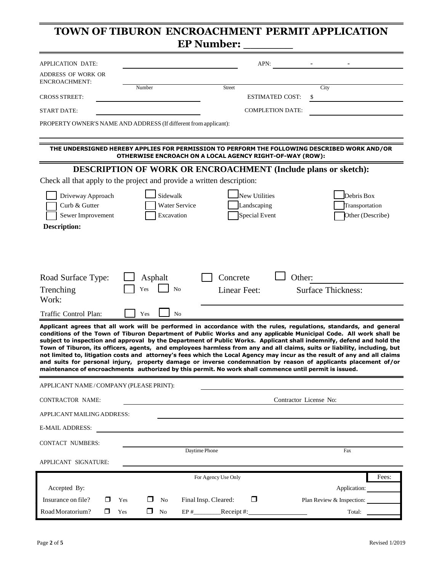# **TOWN OF TIBURON ENCROACHMENT PERMIT APPLICATION EP Number:**

| APPLICATION DATE:                                                                                                                                                                                                                                                                                                                                                                                                                                                                                                                                                                                                                                                                                                                           |                                                                                                                                                          |                                                      | APN:                    |                                                  |       |
|---------------------------------------------------------------------------------------------------------------------------------------------------------------------------------------------------------------------------------------------------------------------------------------------------------------------------------------------------------------------------------------------------------------------------------------------------------------------------------------------------------------------------------------------------------------------------------------------------------------------------------------------------------------------------------------------------------------------------------------------|----------------------------------------------------------------------------------------------------------------------------------------------------------|------------------------------------------------------|-------------------------|--------------------------------------------------|-------|
| ADDRESS OF WORK OR<br><b>ENCROACHMENT:</b>                                                                                                                                                                                                                                                                                                                                                                                                                                                                                                                                                                                                                                                                                                  |                                                                                                                                                          |                                                      |                         |                                                  |       |
| <b>CROSS STREET:</b>                                                                                                                                                                                                                                                                                                                                                                                                                                                                                                                                                                                                                                                                                                                        | Number                                                                                                                                                   | <b>Street</b>                                        | <b>ESTIMATED COST:</b>  | City                                             |       |
| <b>START DATE:</b>                                                                                                                                                                                                                                                                                                                                                                                                                                                                                                                                                                                                                                                                                                                          |                                                                                                                                                          |                                                      | <b>COMPLETION DATE:</b> |                                                  |       |
| PROPERTY OWNER'S NAME AND ADDRESS (If different from applicant):                                                                                                                                                                                                                                                                                                                                                                                                                                                                                                                                                                                                                                                                            |                                                                                                                                                          |                                                      |                         |                                                  |       |
|                                                                                                                                                                                                                                                                                                                                                                                                                                                                                                                                                                                                                                                                                                                                             | THE UNDERSIGNED HEREBY APPLIES FOR PERMISSION TO PERFORM THE FOLLOWING DESCRIBED WORK AND/OR<br>OTHERWISE ENCROACH ON A LOCAL AGENCY RIGHT-OF-WAY (ROW): |                                                      |                         |                                                  |       |
|                                                                                                                                                                                                                                                                                                                                                                                                                                                                                                                                                                                                                                                                                                                                             | <b>DESCRIPTION OF WORK OR ENCROACHMENT (Include plans or sketch):</b>                                                                                    |                                                      |                         |                                                  |       |
| Check all that apply to the project and provide a written description:                                                                                                                                                                                                                                                                                                                                                                                                                                                                                                                                                                                                                                                                      |                                                                                                                                                          |                                                      |                         |                                                  |       |
| Driveway Approach<br>Curb & Gutter<br>Sewer Improvement<br><b>Description:</b>                                                                                                                                                                                                                                                                                                                                                                                                                                                                                                                                                                                                                                                              | Sidewalk<br>Water Service<br>Excavation                                                                                                                  | New Utilities<br>Landscaping<br><b>Special Event</b> |                         | Debris Box<br>Transportation<br>Other (Describe) |       |
| Road Surface Type:<br>Trenching<br>Work:                                                                                                                                                                                                                                                                                                                                                                                                                                                                                                                                                                                                                                                                                                    | Asphalt<br>Yes<br>No                                                                                                                                     | Concrete<br>Linear Feet:                             | Other:                  | <b>Surface Thickness:</b>                        |       |
| Traffic Control Plan:                                                                                                                                                                                                                                                                                                                                                                                                                                                                                                                                                                                                                                                                                                                       | N <sub>0</sub><br>Yes                                                                                                                                    |                                                      |                         |                                                  |       |
| Applicant agrees that all work will be performed in accordance with the rules, regulations, standards, and general<br>conditions of the Town of Tiburon Department of Public Works and any applicable Municipal Code. All work shall be<br>subject to inspection and approval by the Department of Public Works. Applicant shall indemnify, defend and hold the<br>Town of Tiburon, its officers, agents, and employees harmless from any and all claims, suits or liability, including, but<br>not limited to, litigation costs and attorney's fees which the Local Agency may incur as the result of any and all claims<br>and suits for personal injury, property damage or inverse condemnation by reason of applicants placement of/or | maintenance of encroachments authorized by this permit. No work shall commence until permit is issued.                                                   |                                                      |                         |                                                  |       |
| APPLICANT NAME/COMPANY (PLEASE PRINT):                                                                                                                                                                                                                                                                                                                                                                                                                                                                                                                                                                                                                                                                                                      |                                                                                                                                                          |                                                      |                         |                                                  |       |
| CONTRACTOR NAME:                                                                                                                                                                                                                                                                                                                                                                                                                                                                                                                                                                                                                                                                                                                            |                                                                                                                                                          |                                                      | Contractor License No:  |                                                  |       |
| APPLICANT MAILING ADDRESS:                                                                                                                                                                                                                                                                                                                                                                                                                                                                                                                                                                                                                                                                                                                  |                                                                                                                                                          |                                                      |                         |                                                  |       |
| <b>E-MAIL ADDRESS:</b>                                                                                                                                                                                                                                                                                                                                                                                                                                                                                                                                                                                                                                                                                                                      |                                                                                                                                                          |                                                      |                         |                                                  |       |
| CONTACT NUMBERS:                                                                                                                                                                                                                                                                                                                                                                                                                                                                                                                                                                                                                                                                                                                            |                                                                                                                                                          | Daytime Phone                                        |                         |                                                  |       |
| APPLICANT SIGNATURE:                                                                                                                                                                                                                                                                                                                                                                                                                                                                                                                                                                                                                                                                                                                        |                                                                                                                                                          |                                                      |                         | Fax                                              |       |
|                                                                                                                                                                                                                                                                                                                                                                                                                                                                                                                                                                                                                                                                                                                                             |                                                                                                                                                          | For Agency Use Only                                  |                         |                                                  | Fees: |
| Accepted By:                                                                                                                                                                                                                                                                                                                                                                                                                                                                                                                                                                                                                                                                                                                                |                                                                                                                                                          |                                                      |                         | Application:                                     |       |
| Insurance on file?<br>□                                                                                                                                                                                                                                                                                                                                                                                                                                                                                                                                                                                                                                                                                                                     | Yes<br>No                                                                                                                                                | Final Insp. Cleared:<br>□                            |                         | Plan Review & Inspection:                        |       |
| Road Moratorium?<br>□                                                                                                                                                                                                                                                                                                                                                                                                                                                                                                                                                                                                                                                                                                                       | $\Box$<br>No<br>Yes                                                                                                                                      | EP $#$ Receipt $#$ :                                 |                         | Total:                                           |       |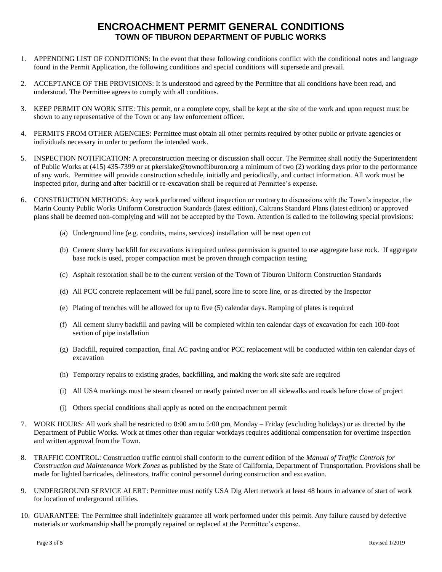#### **ENCROACHMENT PERMIT GENERAL CONDITIONS TOWN OF TIBURON DEPARTMENT OF PUBLIC WORKS**

- 1. APPENDING LIST OF CONDITIONS: In the event that these following conditions conflict with the conditional notes and language found in the Permit Application, the following conditions and special conditions will supersede and prevail.
- 2. ACCEPTANCE OF THE PROVISIONS: It is understood and agreed by the Permittee that all conditions have been read, and understood. The Permittee agrees to comply with all conditions.
- 3. KEEP PERMIT ON WORK SITE: This permit, or a complete copy, shall be kept at the site of the work and upon request must be shown to any representative of the Town or any law enforcement officer.
- 4. PERMITS FROM OTHER AGENCIES: Permittee must obtain all other permits required by other public or private agencies or individuals necessary in order to perform the intended work.
- 5. INSPECTION NOTIFICATION: A preconstruction meeting or discussion shall occur. The Permittee shall notify the Superintendent of Public Works at (415) 435-7399 or at pkerslake@townoftiburon.org a minimum of two (2) working days prior to the performance of any work. Permittee will provide construction schedule, initially and periodically, and contact information. All work must be inspected prior, during and after backfill or re-excavation shall be required at Permittee's expense.
- 6. CONSTRUCTION METHODS: Any work performed without inspection or contrary to discussions with the Town's inspector, the Marin County Public Works Uniform Construction Standards (latest edition), Caltrans Standard Plans (latest edition) or approved plans shall be deemed non-complying and will not be accepted by the Town. Attention is called to the following special provisions:
	- (a) Underground line (e.g. conduits, mains, services) installation will be neat open cut
	- (b) Cement slurry backfill for excavations is required unless permission is granted to use aggregate base rock. If aggregate base rock is used, proper compaction must be proven through compaction testing
	- (c) Asphalt restoration shall be to the current version of the Town of Tiburon Uniform Construction Standards
	- (d) All PCC concrete replacement will be full panel, score line to score line, or as directed by the Inspector
	- (e) Plating of trenches will be allowed for up to five (5) calendar days. Ramping of plates is required
	- (f) All cement slurry backfill and paving will be completed within ten calendar days of excavation for each 100-foot section of pipe installation
	- (g) Backfill, required compaction, final AC paving and/or PCC replacement will be conducted within ten calendar days of excavation
	- (h) Temporary repairs to existing grades, backfilling, and making the work site safe are required
	- (i) All USA markings must be steam cleaned or neatly painted over on all sidewalks and roads before close of project
	- (j) Others special conditions shall apply as noted on the encroachment permit
- 7. WORK HOURS: All work shall be restricted to 8:00 am to 5:00 pm, Monday Friday (excluding holidays) or as directed by the Department of Public Works. Work at times other than regular workdays requires additional compensation for overtime inspection and written approval from the Town.
- 8. TRAFFIC CONTROL: Construction traffic control shall conform to the current edition of the *Manual of Traffic Controls for Construction and Maintenance Work Zones* as published by the State of California, Department of Transportation. Provisions shall be made for lighted barricades, delineators, traffic control personnel during construction and excavation.
- 9. UNDERGROUND SERVICE ALERT: Permittee must notify USA Dig Alert network at least 48 hours in advance of start of work for location of underground utilities.
- 10. GUARANTEE: The Permittee shall indefinitely guarantee all work performed under this permit. Any failure caused by defective materials or workmanship shall be promptly repaired or replaced at the Permittee's expense.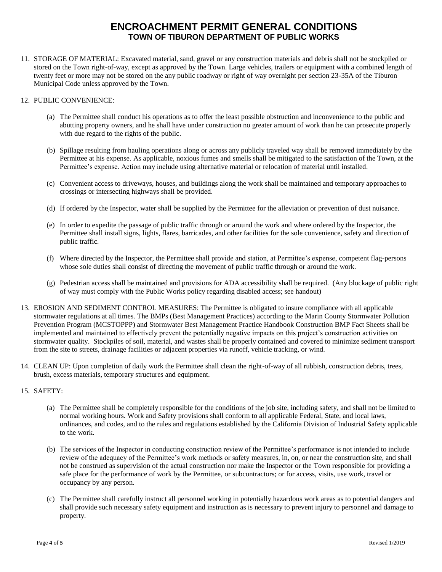### **ENCROACHMENT PERMIT GENERAL CONDITIONS TOWN OF TIBURON DEPARTMENT OF PUBLIC WORKS**

- 11. STORAGE OF MATERIAL: Excavated material, sand, gravel or any construction materials and debris shall not be stockpiled or stored on the Town right-of-way, except as approved by the Town. Large vehicles, trailers or equipment with a combined length of twenty feet or more may not be stored on the any public roadway or right of way overnight per section 23-35A of the Tiburon Municipal Code unless approved by the Town.
- 12. PUBLIC CONVENIENCE:
	- (a) The Permittee shall conduct his operations as to offer the least possible obstruction and inconvenience to the public and abutting property owners, and he shall have under construction no greater amount of work than he can prosecute properly with due regard to the rights of the public.
	- (b) Spillage resulting from hauling operations along or across any publicly traveled way shall be removed immediately by the Permittee at his expense. As applicable, noxious fumes and smells shall be mitigated to the satisfaction of the Town, at the Permittee's expense. Action may include using alternative material or relocation of material until installed.
	- (c) Convenient access to driveways, houses, and buildings along the work shall be maintained and temporary approaches to crossings or intersecting highways shall be provided.
	- (d) If ordered by the Inspector, water shall be supplied by the Permittee for the alleviation or prevention of dust nuisance.
	- (e) In order to expedite the passage of public traffic through or around the work and where ordered by the Inspector, the Permittee shall install signs, lights, flares, barricades, and other facilities for the sole convenience, safety and direction of public traffic.
	- (f) Where directed by the Inspector, the Permittee shall provide and station, at Permittee's expense, competent flag-persons whose sole duties shall consist of directing the movement of public traffic through or around the work.
	- (g) Pedestrian access shall be maintained and provisions for ADA accessibility shall be required. (Any blockage of public right of way must comply with the Public Works policy regarding disabled access; see handout)
- 13. EROSION AND SEDIMENT CONTROL MEASURES: The Permittee is obligated to insure compliance with all applicable stormwater regulations at all times. The BMPs (Best Management Practices) according to the Marin County Stormwater Pollution Prevention Program (MCSTOPPP) and Stormwater Best Management Practice Handbook Construction BMP Fact Sheets shall be implemented and maintained to effectively prevent the potentially negative impacts on this project's construction activities on stormwater quality. Stockpiles of soil, material, and wastes shall be properly contained and covered to minimize sediment transport from the site to streets, drainage facilities or adjacent properties via runoff, vehicle tracking, or wind.
- 14. CLEAN UP: Upon completion of daily work the Permittee shall clean the right-of-way of all rubbish, construction debris, trees, brush, excess materials, temporary structures and equipment.
- 15. SAFETY:
	- (a) The Permittee shall be completely responsible for the conditions of the job site, including safety, and shall not be limited to normal working hours. Work and Safety provisions shall conform to all applicable Federal, State, and local laws, ordinances, and codes, and to the rules and regulations established by the California Division of Industrial Safety applicable to the work.
	- (b) The services of the Inspector in conducting construction review of the Permittee's performance is not intended to include review of the adequacy of the Permittee's work methods or safety measures, in, on, or near the construction site, and shall not be construed as supervision of the actual construction nor make the Inspector or the Town responsible for providing a safe place for the performance of work by the Permittee, or subcontractors; or for access, visits, use work, travel or occupancy by any person.
	- (c) The Permittee shall carefully instruct all personnel working in potentially hazardous work areas as to potential dangers and shall provide such necessary safety equipment and instruction as is necessary to prevent injury to personnel and damage to property.